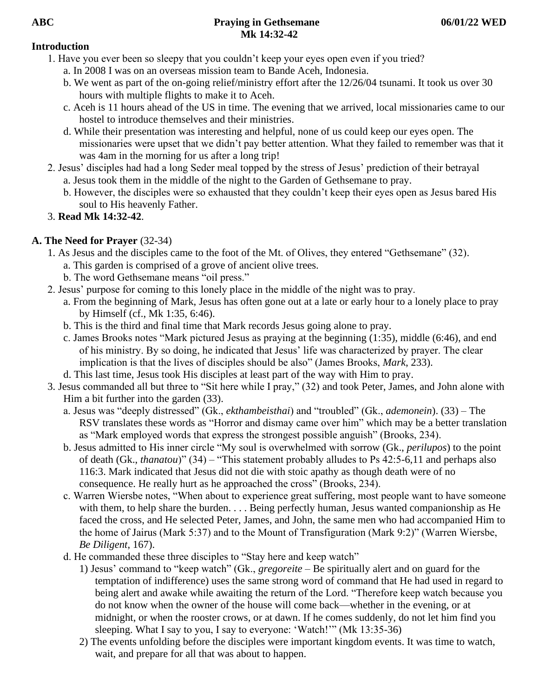## **Introduction**

- 1. Have you ever been so sleepy that you couldn't keep your eyes open even if you tried?
	- a. In 2008 I was on an overseas mission team to Bande Aceh, Indonesia.
	- b. We went as part of the on-going relief/ministry effort after the 12/26/04 tsunami. It took us over 30 hours with multiple flights to make it to Aceh.
	- c. Aceh is 11 hours ahead of the US in time. The evening that we arrived, local missionaries came to our hostel to introduce themselves and their ministries.
	- d. While their presentation was interesting and helpful, none of us could keep our eyes open. The missionaries were upset that we didn't pay better attention. What they failed to remember was that it was 4am in the morning for us after a long trip!
- 2. Jesus' disciples had had a long Seder meal topped by the stress of Jesus' prediction of their betrayal a. Jesus took them in the middle of the night to the Garden of Gethsemane to pray.
	- b. However, the disciples were so exhausted that they couldn't keep their eyes open as Jesus bared His soul to His heavenly Father.
- 3. **Read Mk 14:32-42**.

# **A. The Need for Prayer** (32-34)

- 1. As Jesus and the disciples came to the foot of the Mt. of Olives, they entered "Gethsemane" (32).
	- a. This garden is comprised of a grove of ancient olive trees.
	- b. The word Gethsemane means "oil press."
- 2. Jesus' purpose for coming to this lonely place in the middle of the night was to pray.
	- a. From the beginning of Mark, Jesus has often gone out at a late or early hour to a lonely place to pray by Himself (cf., Mk 1:35, 6:46).
	- b. This is the third and final time that Mark records Jesus going alone to pray.
	- c. James Brooks notes "Mark pictured Jesus as praying at the beginning (1:35), middle (6:46), and end of his ministry. By so doing, he indicated that Jesus' life was characterized by prayer. The clear implication is that the lives of disciples should be also" (James Brooks, *Mark*, 233).
- d. This last time, Jesus took His disciples at least part of the way with Him to pray.
- 3. Jesus commanded all but three to "Sit here while I pray," (32) and took Peter, James, and John alone with Him a bit further into the garden (33).
	- a. Jesus was "deeply distressed" (Gk., *ekthambeisthai*) and "troubled" (Gk., *ademonein*). (33) The RSV translates these words as "Horror and dismay came over him" which may be a better translation as "Mark employed words that express the strongest possible anguish" (Brooks, 234).
	- b. Jesus admitted to His inner circle "My soul is overwhelmed with sorrow (Gk., *perilupos*) to the point of death (Gk., *thanatou*)" (34) – "This statement probably alludes to Ps 42:5-6,11 and perhaps also 116:3. Mark indicated that Jesus did not die with stoic apathy as though death were of no consequence. He really hurt as he approached the cross" (Brooks, 234).
	- c. Warren Wiersbe notes, "When about to experience great suffering, most people want to have someone with them, to help share the burden. . . . Being perfectly human, Jesus wanted companionship as He faced the cross, and He selected Peter, James, and John, the same men who had accompanied Him to the home of Jairus (Mark 5:37) and to the Mount of Transfiguration (Mark 9:2)" (Warren Wiersbe, *Be Diligent*, 167).
	- d. He commanded these three disciples to "Stay here and keep watch"
		- 1) Jesus' command to "keep watch" (Gk., *gregoreite* Be spiritually alert and on guard for the temptation of indifference) uses the same strong word of command that He had used in regard to being alert and awake while awaiting the return of the Lord. "Therefore keep watch because you do not know when the owner of the house will come back—whether in the evening, or at midnight, or when the rooster crows, or at dawn. If he comes suddenly, do not let him find you sleeping. What I say to you, I say to everyone: 'Watch!'" (Mk 13:35-36)
		- 2) The events unfolding before the disciples were important kingdom events. It was time to watch, wait, and prepare for all that was about to happen.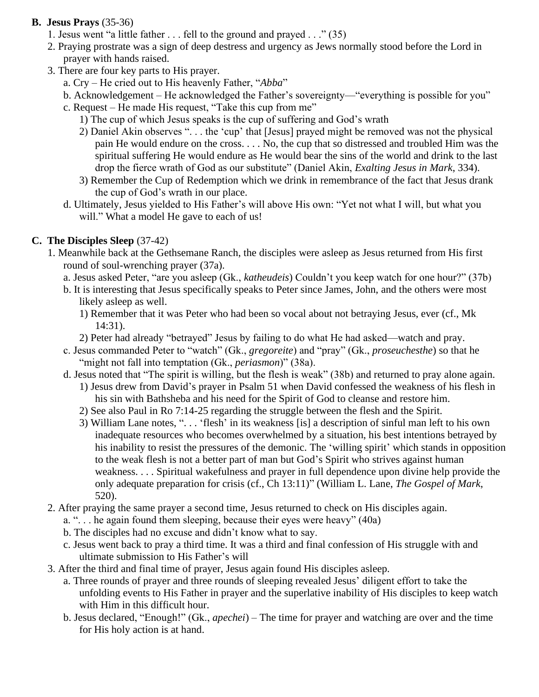## **B. Jesus Prays** (35-36)

- 1. Jesus went "a little father . . . fell to the ground and prayed . . ." (35)
- 2. Praying prostrate was a sign of deep destress and urgency as Jews normally stood before the Lord in prayer with hands raised.
- 3. There are four key parts to His prayer.
	- a. Cry He cried out to His heavenly Father, "*Abba*"
	- b. Acknowledgement He acknowledged the Father's sovereignty—"everything is possible for you"
	- c. Request He made His request, "Take this cup from me"
		- 1) The cup of which Jesus speaks is the cup of suffering and God's wrath
		- 2) Daniel Akin observes ". . . the 'cup' that [Jesus] prayed might be removed was not the physical pain He would endure on the cross. . . . No, the cup that so distressed and troubled Him was the spiritual suffering He would endure as He would bear the sins of the world and drink to the last drop the fierce wrath of God as our substitute" (Daniel Akin, *Exalting Jesus in Mark*, 334).
		- 3) Remember the Cup of Redemption which we drink in remembrance of the fact that Jesus drank the cup of God's wrath in our place.
	- d. Ultimately, Jesus yielded to His Father's will above His own: "Yet not what I will, but what you will." What a model He gave to each of us!

## **C. The Disciples Sleep** (37-42)

- 1. Meanwhile back at the Gethsemane Ranch, the disciples were asleep as Jesus returned from His first round of soul-wrenching prayer (37a).
	- a. Jesus asked Peter, "are you asleep (Gk., *katheudeis*) Couldn't you keep watch for one hour?" (37b)
	- b. It is interesting that Jesus specifically speaks to Peter since James, John, and the others were most likely asleep as well.
		- 1) Remember that it was Peter who had been so vocal about not betraying Jesus, ever (cf., Mk 14:31).
		- 2) Peter had already "betrayed" Jesus by failing to do what He had asked—watch and pray.
	- c. Jesus commanded Peter to "watch" (Gk., *gregoreite*) and "pray" (Gk., *proseuchesthe*) so that he "might not fall into temptation (Gk., *periasmon*)" (38a).
	- d. Jesus noted that "The spirit is willing, but the flesh is weak" (38b) and returned to pray alone again.
		- 1) Jesus drew from David's prayer in Psalm 51 when David confessed the weakness of his flesh in his sin with Bathsheba and his need for the Spirit of God to cleanse and restore him.
		- 2) See also Paul in Ro 7:14-25 regarding the struggle between the flesh and the Spirit.
		- 3) William Lane notes, ". . . 'flesh' in its weakness [is] a description of sinful man left to his own inadequate resources who becomes overwhelmed by a situation, his best intentions betrayed by his inability to resist the pressures of the demonic. The 'willing spirit' which stands in opposition to the weak flesh is not a better part of man but God's Spirit who strives against human weakness. . . . Spiritual wakefulness and prayer in full dependence upon divine help provide the only adequate preparation for crisis (cf., Ch 13:11)" (William L. Lane, *The Gospel of Mark*, 520).
- 2. After praying the same prayer a second time, Jesus returned to check on His disciples again.
	- a. ". . . he again found them sleeping, because their eyes were heavy" (40a)
	- b. The disciples had no excuse and didn't know what to say.
	- c. Jesus went back to pray a third time. It was a third and final confession of His struggle with and ultimate submission to His Father's will
- 3. After the third and final time of prayer, Jesus again found His disciples asleep.
	- a. Three rounds of prayer and three rounds of sleeping revealed Jesus' diligent effort to take the unfolding events to His Father in prayer and the superlative inability of His disciples to keep watch with Him in this difficult hour.
	- b. Jesus declared, "Enough!" (Gk., *apechei*) The time for prayer and watching are over and the time for His holy action is at hand.